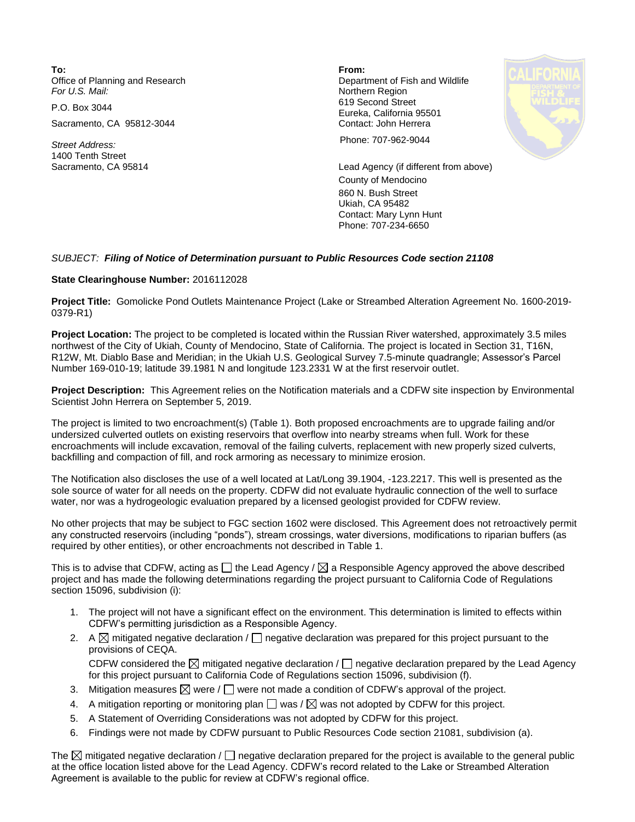**To: From:**  Office of Planning and Research **Department of Fish and Wildlife**<br>
For U.S. Mail: **Department of Fish and Wildlife** 

Sacramento, CA 95812-3044 Contact: John Herrera

1400 Tenth Street

**Northern Region** P.O. Box 3044 619 Second Street Eureka, California 95501



*Street Address:* Phone: 707-962-9044

Sacramento, CA 95814 Lead Agency (if different from above) County of Mendocino 860 N. Bush Street Ukiah, CA 95482 Contact: Mary Lynn Hunt Phone: 707-234-6650

## *SUBJECT: Filing of Notice of Determination pursuant to Public Resources Code section 21108*

## **State Clearinghouse Number:** 2016112028

**Project Title:** Gomolicke Pond Outlets Maintenance Project (Lake or Streambed Alteration Agreement No. 1600-2019- 0379-R1)

**Project Location:** The project to be completed is located within the Russian River watershed, approximately 3.5 miles northwest of the City of Ukiah, County of Mendocino, State of California. The project is located in Section 31, T16N, R12W, Mt. Diablo Base and Meridian; in the Ukiah U.S. Geological Survey 7.5-minute quadrangle; Assessor's Parcel Number 169-010-19; latitude 39.1981 N and longitude 123.2331 W at the first reservoir outlet.

**Project Description:** This Agreement relies on the Notification materials and a CDFW site inspection by Environmental Scientist John Herrera on September 5, 2019.

The project is limited to two encroachment(s) (Table 1). Both proposed encroachments are to upgrade failing and/or undersized culverted outlets on existing reservoirs that overflow into nearby streams when full. Work for these encroachments will include excavation, removal of the failing culverts, replacement with new properly sized culverts, backfilling and compaction of fill, and rock armoring as necessary to minimize erosion.

The Notification also discloses the use of a well located at Lat/Long 39.1904, -123.2217. This well is presented as the sole source of water for all needs on the property. CDFW did not evaluate hydraulic connection of the well to surface water, nor was a hydrogeologic evaluation prepared by a licensed geologist provided for CDFW review.

No other projects that may be subject to FGC section 1602 were disclosed. This Agreement does not retroactively permit any constructed reservoirs (including "ponds"), stream crossings, water diversions, modifications to riparian buffers (as required by other entities), or other encroachments not described in Table 1.

This is to advise that CDFW, acting as  $\Box$  the Lead Agency /  $\boxtimes$  a Responsible Agency approved the above described project and has made the following determinations regarding the project pursuant to California Code of Regulations section 15096, subdivision (i):

- 1. The project will not have a significant effect on the environment. This determination is limited to effects within CDFW's permitting jurisdiction as a Responsible Agency.
- 2. A  $\boxtimes$  mitigated negative declaration /  $\Box$  negative declaration was prepared for this project pursuant to the provisions of CEQA. CDFW considered the  $\boxtimes$  mitigated negative declaration /  $\Box$  negative declaration prepared by the Lead Agency for this project pursuant to California Code of Regulations section 15096, subdivision (f).
- 3. Mitigation measures  $\boxtimes$  were /  $\Box$  were not made a condition of CDFW's approval of the project.
- 4. A mitigation reporting or monitoring plan  $\Box$  was /  $\boxtimes$  was not adopted by CDFW for this project.
- 5. A Statement of Overriding Considerations was not adopted by CDFW for this project.
- 6. Findings were not made by CDFW pursuant to Public Resources Code section 21081, subdivision (a).

The  $\boxtimes$  mitigated negative declaration /  $\Box$  negative declaration prepared for the project is available to the general public at the office location listed above for the Lead Agency. CDFW's record related to the Lake or Streambed Alteration Agreement is available to the public for review at CDFW's regional office.